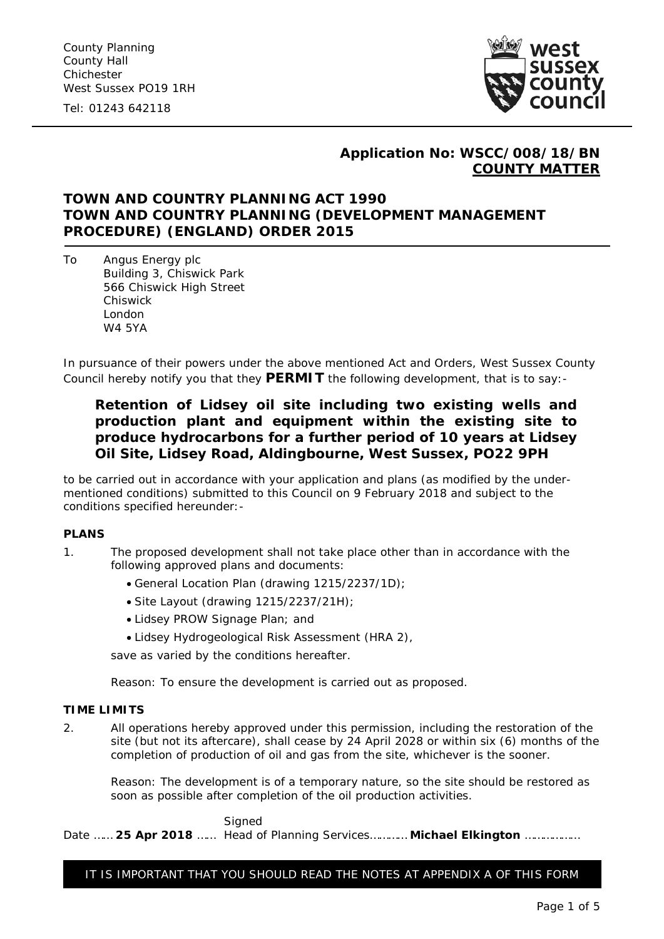Tel: 01243 642118



## **Application No: WSCC/008/18/BN COUNTY MATTER**

# **TOWN AND COUNTRY PLANNING ACT 1990 TOWN AND COUNTRY PLANNING (DEVELOPMENT MANAGEMENT PROCEDURE) (ENGLAND) ORDER 2015**

To Angus Energy plc Building 3, Chiswick Park 566 Chiswick High Street Chiswick London W4 5YA

In pursuance of their powers under the above mentioned Act and Orders, West Sussex County Council hereby notify you that they **PERMIT** the following development, that is to say:-

# **Retention of Lidsey oil site including two existing wells and production plant and equipment within the existing site to produce hydrocarbons for a further period of 10 years at Lidsey Oil Site, Lidsey Road, Aldingbourne, West Sussex, PO22 9PH**

to be carried out in accordance with your application and plans (as modified by the undermentioned conditions) submitted to this Council on 9 February 2018 and subject to the conditions specified hereunder:-

### **PLANS**

- 1. The proposed development shall not take place other than in accordance with the following approved plans and documents:
	- General Location Plan (drawing 1215/2237/1D);
	- Site Layout (drawing 1215/2237/21H);
	- Lidsey PROW Signage Plan; and
	- Lidsey Hydrogeological Risk Assessment (HRA 2),

save as varied by the conditions hereafter.

*Reason: To ensure the development is carried out as proposed.*

### **TIME LIMITS**

2. All operations hereby approved under this permission, including the restoration of the site (but not its aftercare), shall cease by 24 April 2028 or within six (6) months of the completion of production of oil and gas from the site, whichever is the sooner.

*Reason: The development is of a temporary nature, so the site should be restored as soon as possible after completion of the oil production activities.*

**Signed** Date …… **25 Apr 2018** …… Head of Planning Services………… **Michael Elkington** ………………

IT IS IMPORTANT THAT YOU SHOULD READ THE NOTES AT APPENDIX A OF THIS FORM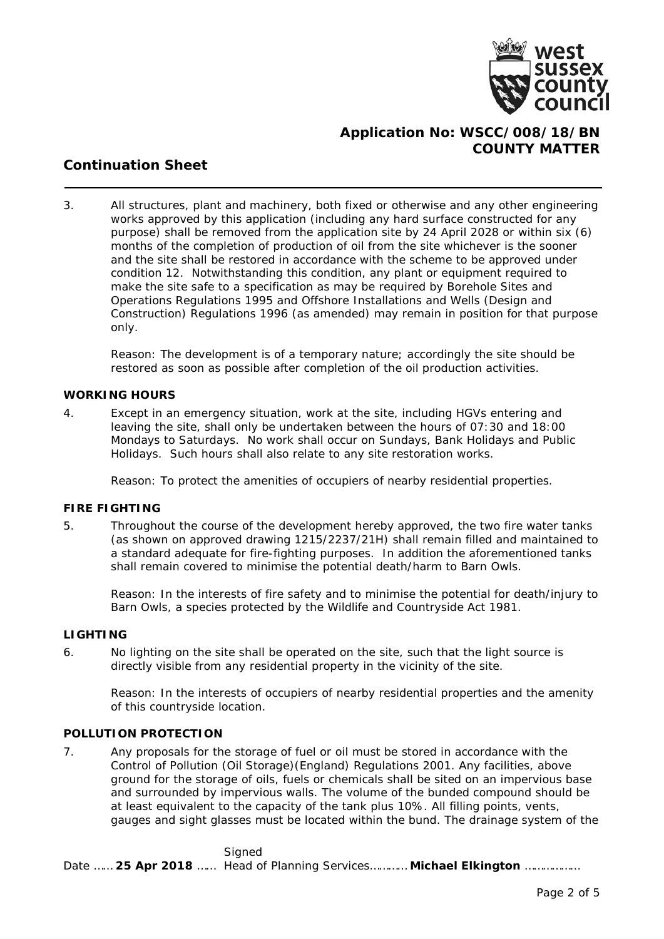

# **Application No: WSCC/008/18/BN COUNTY MATTER**

# **Continuation Sheet**

3. All structures, plant and machinery, both fixed or otherwise and any other engineering works approved by this application (including any hard surface constructed for any purpose) shall be removed from the application site by 24 April 2028 or within six (6) months of the completion of production of oil from the site whichever is the sooner and the site shall be restored in accordance with the scheme to be approved under condition 12. Notwithstanding this condition, any plant or equipment required to make the site safe to a specification as may be required by Borehole Sites and Operations Regulations 1995 and Offshore Installations and Wells (Design and Construction) Regulations 1996 (as amended) may remain in position for that purpose only.

*Reason: The development is of a temporary nature; accordingly the site should be restored as soon as possible after completion of the oil production activities.*

### **WORKING HOURS**

4. Except in an emergency situation, work at the site, including HGVs entering and leaving the site, shall only be undertaken between the hours of 07:30 and 18:00 Mondays to Saturdays. No work shall occur on Sundays, Bank Holidays and Public Holidays. Such hours shall also relate to any site restoration works.

*Reason: To protect the amenities of occupiers of nearby residential properties.*

### **FIRE FIGHTING**

5. Throughout the course of the development hereby approved, the two fire water tanks (as shown on approved drawing 1215/2237/21H) shall remain filled and maintained to a standard adequate for fire-fighting purposes. In addition the aforementioned tanks shall remain covered to minimise the potential death/harm to Barn Owls.

*Reason: In the interests of fire safety and to minimise the potential for death/injury to Barn Owls, a species protected by the Wildlife and Countryside Act 1981.*

### **LIGHTING**

6. No lighting on the site shall be operated on the site, such that the light source is directly visible from any residential property in the vicinity of the site.

*Reason: In the interests of occupiers of nearby residential properties and the amenity of this countryside location.*

### **POLLUTION PROTECTION**

7. Any proposals for the storage of fuel or oil must be stored in accordance with the Control of Pollution (Oil Storage)(England) Regulations 2001. Any facilities, above ground for the storage of oils, fuels or chemicals shall be sited on an impervious base and surrounded by impervious walls. The volume of the bunded compound should be at least equivalent to the capacity of the tank plus 10%. All filling points, vents, gauges and sight glasses must be located within the bund. The drainage system of the

Signed Date …… **25 Apr 2018** …… Head of Planning Services………… **Michael Elkington** ………………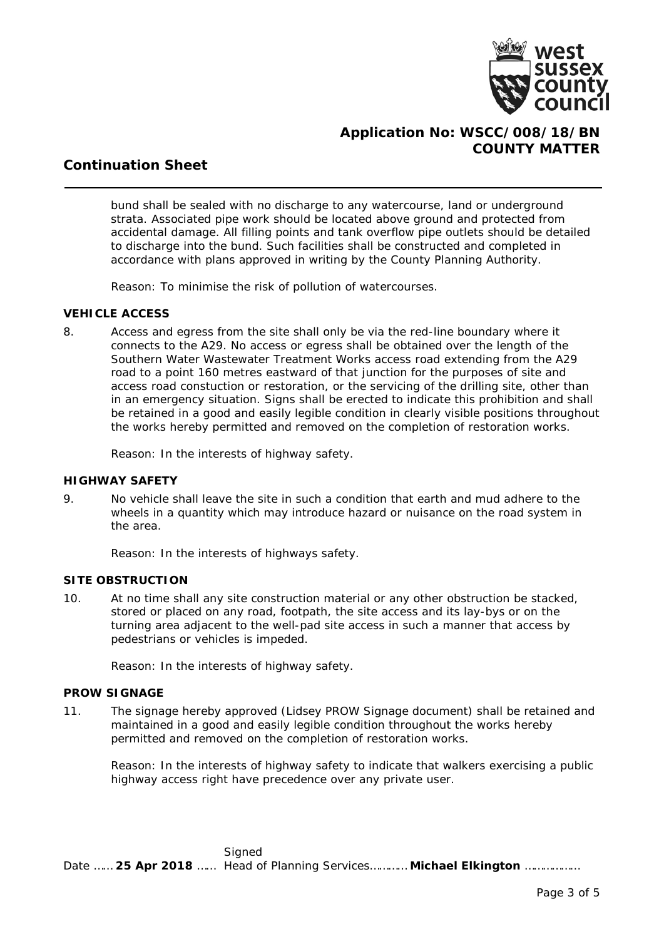

# **Application No: WSCC/008/18/BN COUNTY MATTER**

# **Continuation Sheet**

bund shall be sealed with no discharge to any watercourse, land or underground strata. Associated pipe work should be located above ground and protected from accidental damage. All filling points and tank overflow pipe outlets should be detailed to discharge into the bund. Such facilities shall be constructed and completed in accordance with plans approved in writing by the County Planning Authority.

*Reason: To minimise the risk of pollution of watercourses.*

### **VEHICLE ACCESS**

8. Access and egress from the site shall only be via the red-line boundary where it connects to the A29. No access or egress shall be obtained over the length of the Southern Water Wastewater Treatment Works access road extending from the A29 road to a point 160 metres eastward of that junction for the purposes of site and access road constuction or restoration, or the servicing of the drilling site, other than in an emergency situation. Signs shall be erected to indicate this prohibition and shall be retained in a good and easily legible condition in clearly visible positions throughout the works hereby permitted and removed on the completion of restoration works.

*Reason: In the interests of highway safety.*

### **HIGHWAY SAFETY**

9. No vehicle shall leave the site in such a condition that earth and mud adhere to the wheels in a quantity which may introduce hazard or nuisance on the road system in the area.

*Reason: In the interests of highways safety.*

### **SITE OBSTRUCTION**

10. At no time shall any site construction material or any other obstruction be stacked, stored or placed on any road, footpath, the site access and its lay-bys or on the turning area adjacent to the well-pad site access in such a manner that access by pedestrians or vehicles is impeded.

*Reason: In the interests of highway safety.*

### **PROW SIGNAGE**

11. The signage hereby approved (Lidsey PROW Signage document) shall be retained and maintained in a good and easily legible condition throughout the works hereby permitted and removed on the completion of restoration works.

*Reason: In the interests of highway safety to indicate that walkers exercising a public highway access right have precedence over any private user.*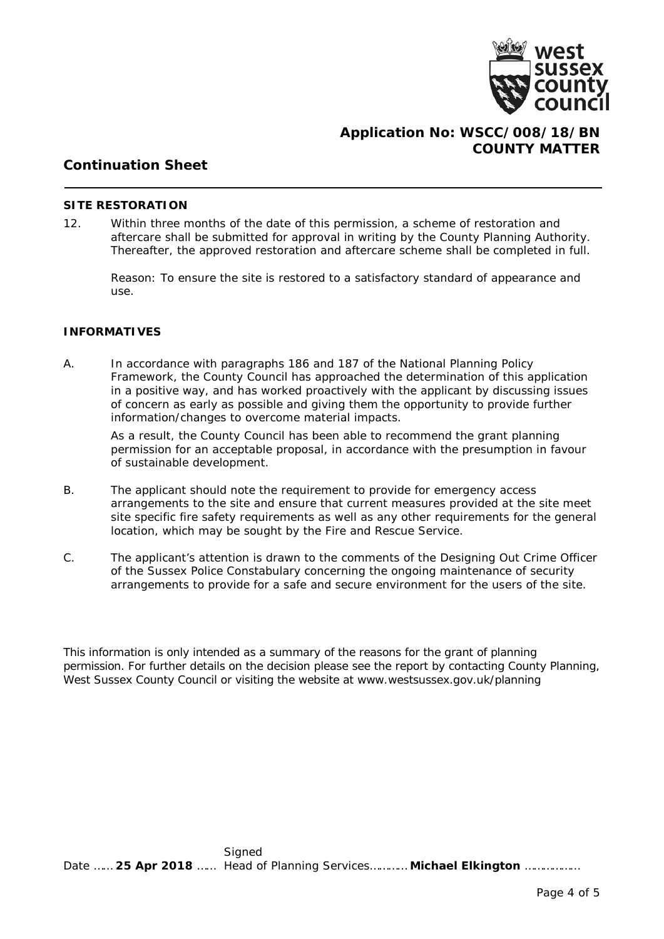

### **Application No: WSCC/008/18/BN COUNTY MATTER**

## **Continuation Sheet**

#### **SITE RESTORATION**

12. Within three months of the date of this permission, a scheme of restoration and aftercare shall be submitted for approval in writing by the County Planning Authority. Thereafter, the approved restoration and aftercare scheme shall be completed in full.

*Reason: To ensure the site is restored to a satisfactory standard of appearance and use.*

#### **INFORMATIVES**

A. In accordance with paragraphs 186 and 187 of the National Planning Policy Framework, the County Council has approached the determination of this application in a positive way, and has worked proactively with the applicant by discussing issues of concern as early as possible and giving them the opportunity to provide further information/changes to overcome material impacts.

As a result, the County Council has been able to recommend the grant planning permission for an acceptable proposal, in accordance with the presumption in favour of sustainable development.

- B. The applicant should note the requirement to provide for emergency access arrangements to the site and ensure that current measures provided at the site meet site specific fire safety requirements as well as any other requirements for the general location, which may be sought by the Fire and Rescue Service.
- C. The applicant's attention is drawn to the comments of the Designing Out Crime Officer of the Sussex Police Constabulary concerning the ongoing maintenance of security arrangements to provide for a safe and secure environment for the users of the site.

This information is only intended as a summary of the reasons for the grant of planning permission. For further details on the decision please see the report by contacting County Planning, West Sussex County Council or visiting the website at www.westsussex.gov.uk/planning